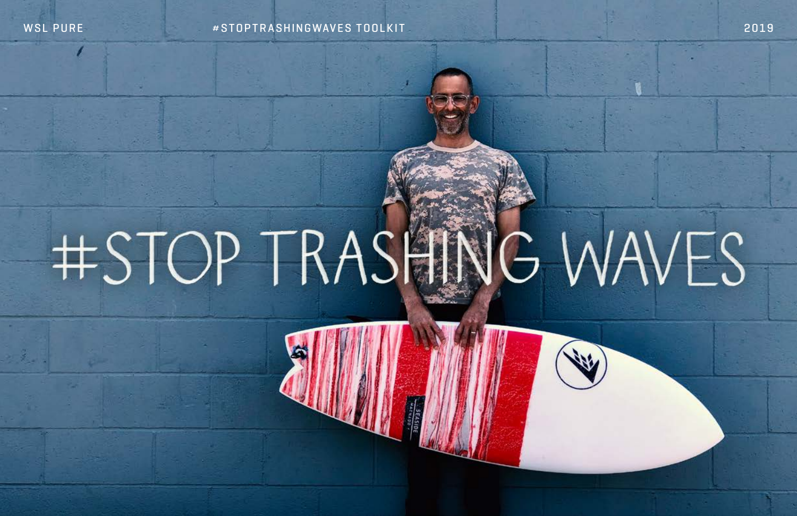# #STOP TRASHI

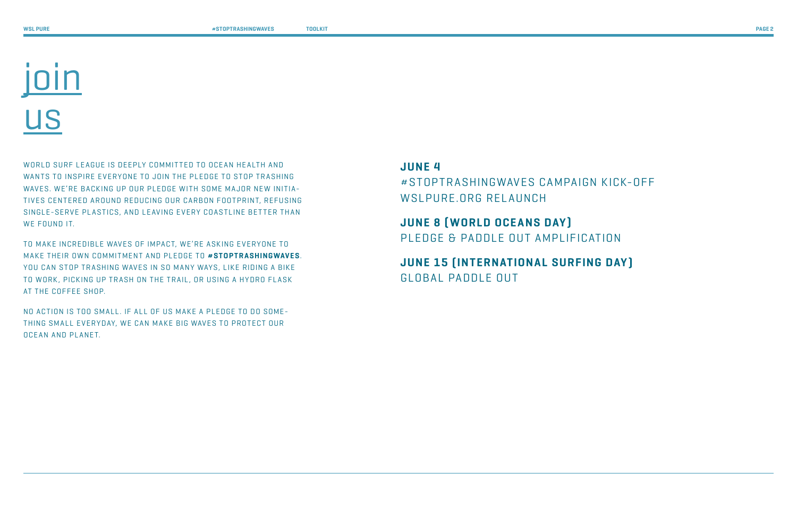WORLD SURF LEAGUE IS DEEPLY COMMITTED TO OCEAN HEALTH AND WANTS TO INSPIRE EVERYONE TO JOIN THE PLEDGE TO STOP TRASHING WAVES. WE'RE BACKING UP OUR PLEDGE WITH SOME MAJOR NEW INITIA-TIVES CENTERED AROUND REDUCING OUR CARBON FOOTPRINT, REFUSING SINGLE-SERVE PLASTICS, AND LEAVING EVERY COASTLINE BETTER THAN WE FOUND IT.

TO MAKE INCREDIBLE WAVES OF IMPACT, WE'RE ASKING EVERYONE TO MAKE THEIR OWN COMMITMENT AND PLEDGE TO **#STOPTRASHINGWAVES**. YOU CAN STOP TRASHING WAVES IN SO MANY WAYS, LIKE RIDING A BIKE TO WORK, PICKING UP TRASH ON THE TRAIL, OR USING A HYDRO FLASK AT THE COFFEE SHOP.

NO ACTION IS TOO SMALL. IF ALL OF US MAKE A PLEDGE TO DO SOME-THING SMALL EVERYDAY, WE CAN MAKE BIG WAVES TO PROTECT OUR OCEAN AND PLANET.

### **JUNE 4**

#STOPTRASHINGWAVES CAMPAIGN KICK-OFF WSLPURE.ORG RELAUNCH

# **JUNE 8 (WORLD OCEANS DAY)** PLEDGE & PADDLE OUT AMPLIFICATION

## **JUNE 15 (INTERNATIONAL SURFING DAY)** GLOBAL PADDLE OUT

# join us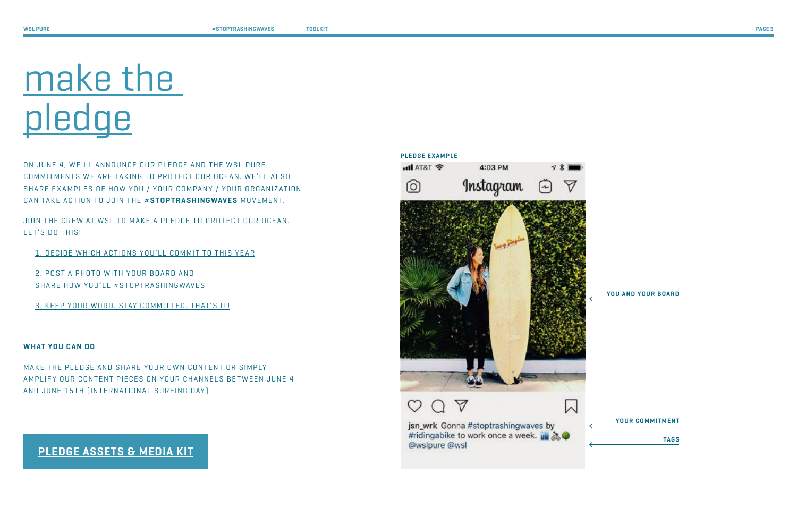ON JUNE 4, WE'LL ANNOUNCE OUR PLEDGE AND THE WSL PURE COMMITMENTS WE ARE TAKING TO PROTECT OUR OCEAN. WE'LL ALSO SHARE EXAMPLES OF HOW YOU / YOUR COMPANY / YOUR ORGANIZATION CAN TAKE ACTION TO JOIN THE **#STOPTRASHINGWAVES** MOVEMENT.

JOIN THE CREW AT WSL TO MAKE A PLEDGE TO PROTECT OUR OCEAN. LET'S DO THIS!

MAKE THE PLEDGE AND SHARE YOUR OWN CONTENT OR SIMPLY AMPLIFY OUR CONTENT PIECES ON YOUR CHANNELS BETWEEN JUNE 4 AND JUNE 15TH (INTERNATIONAL SURFING DAY )

- 1. DECIDE WHICH ACTIONS YOU'LL COMMIT TO THIS YEAR
- 2. POST A PHOTO WITH YOUR BOARD AND SHARE HOW YOU'LL #STOPTRASHINGWAVES
- 3. KEEP YOUR WORD. STAY COMMITTED. THAT'S IT!

#### **WHAT YOU CAN DO**



jsn\_wrk Gonna #stoptrashingwaves by #ridingabike to work once a week. @wslpure @wsl

**YOU AND YOUR BOARD**

**YOUR COMMITMENT**

**TAGS**

# make the pledge

### **[PLEDGE ASSETS & MEDIA KIT](https://www.dropbox.com/sh/gx8kisepyzpevs8/AADMHsgxKP0-RFYyHimyKtiBa?dl=0)**